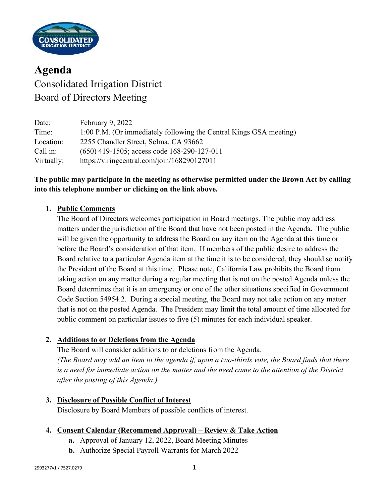

**Agenda** Consolidated Irrigation District Board of Directors Meeting

Date: February 9, 2022 Time: 1:00 P.M. (Or immediately following the Central Kings GSA meeting) Location: 2255 Chandler Street, Selma, CA 93662 Call in: (650) 419-1505; access code 168-290-127-011 Virtually: https://v.ringcentral.com/join/168290127011

# **The public may participate in the meeting as otherwise permitted under the Brown Act by calling into this telephone number or clicking on the link above.**

### **1. Public Comments**

The Board of Directors welcomes participation in Board meetings. The public may address matters under the jurisdiction of the Board that have not been posted in the Agenda. The public will be given the opportunity to address the Board on any item on the Agenda at this time or before the Board's consideration of that item. If members of the public desire to address the Board relative to a particular Agenda item at the time it is to be considered, they should so notify the President of the Board at this time. Please note, California Law prohibits the Board from taking action on any matter during a regular meeting that is not on the posted Agenda unless the Board determines that it is an emergency or one of the other situations specified in Government Code Section 54954.2. During a special meeting, the Board may not take action on any matter that is not on the posted Agenda. The President may limit the total amount of time allocated for public comment on particular issues to five (5) minutes for each individual speaker.

### **2. Additions to or Deletions from the Agenda**

The Board will consider additions to or deletions from the Agenda. *(The Board may add an item to the agenda if, upon a two-thirds vote, the Board finds that there is a need for immediate action on the matter and the need came to the attention of the District after the posting of this Agenda.)*

**3. Disclosure of Possible Conflict of Interest**

Disclosure by Board Members of possible conflicts of interest.

- **4. Consent Calendar (Recommend Approval) – Review & Take Action**
	- **a.** Approval of January 12, 2022, Board Meeting Minutes
	- **b.** Authorize Special Payroll Warrants for March 2022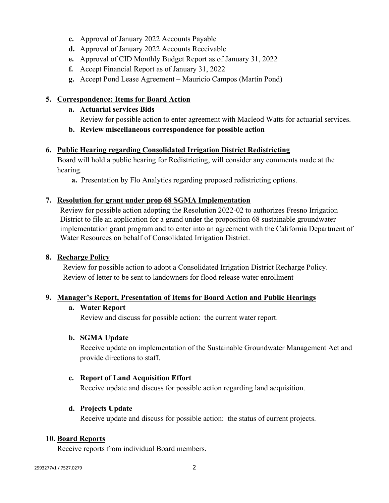- **c.** Approval of January 2022 Accounts Payable
- **d.** Approval of January 2022 Accounts Receivable
- **e.** Approval of CID Monthly Budget Report as of January 31, 2022
- **f.** Accept Financial Report as of January 31, 2022
- **g.** Accept Pond Lease Agreement Mauricio Campos (Martin Pond)

#### **5. Correspondence: Items for Board Action**

- **a. Actuarial services Bids**
	- Review for possible action to enter agreement with Macleod Watts for actuarial services.
- **b. Review miscellaneous correspondence for possible action**

#### **6. Public Hearing regarding Consolidated Irrigation District Redistricting**

Board will hold a public hearing for Redistricting, will consider any comments made at the hearing.

**a.** Presentation by Flo Analytics regarding proposed redistricting options.

#### **7. Resolution for grant under prop 68 SGMA Implementation**

Review for possible action adopting the Resolution 2022-02 to authorizes Fresno Irrigation District to file an application for a grand under the proposition 68 sustainable groundwater implementation grant program and to enter into an agreement with the California Department of Water Resources on behalf of Consolidated Irrigation District.

#### **8. Recharge Policy**

Review for possible action to adopt a Consolidated Irrigation District Recharge Policy. Review of letter to be sent to landowners for flood release water enrollment

#### **9. Manager's Report, Presentation of Items for Board Action and Public Hearings**

#### **a. Water Report**

Review and discuss for possible action: the current water report.

#### **b. SGMA Update**

Receive update on implementation of the Sustainable Groundwater Management Act and provide directions to staff.

#### **c. Report of Land Acquisition Effort**

Receive update and discuss for possible action regarding land acquisition.

#### **d. Projects Update**

Receive update and discuss for possible action: the status of current projects.

#### **10. Board Reports**

Receive reports from individual Board members.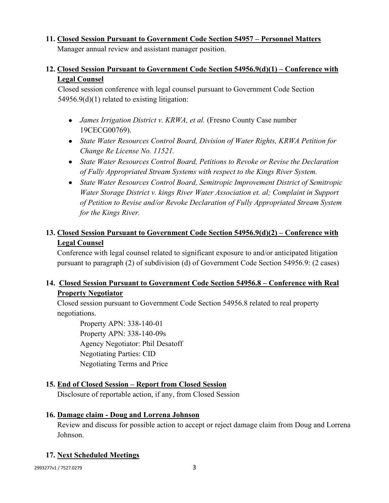# **11. Closed Session Pursuant to Government Code Section 54957 – Personnel Matters**

Manager annual review and assistant manager position.

# **12. Closed Session Pursuant to Government Code Section 54956.9(d)(1) – Conference with Legal Counsel**

Closed session conference with legal counsel pursuant to Government Code Section 54956.9(d)(1) related to existing litigation:

- *James Irrigation District v. KRWA, et al.* (Fresno County Case number 19CECG00769).
- *State Water Resources Control Board, Division of Water Rights, KRWA Petition for Change Re License No. 11521.*
- *State Water Resources Control Board, Petitions to Revoke or Revise the Declaration of Fully Appropriated Stream Systems with respect to the Kings River System.*
- *State Water Resources Control Board, Semitropic Improvement District of Semitropic Water Storage District v. kings River Water Association et. al; Complaint in Support of Petition to Revise and/or Revoke Declaration of Fully Appropriated Stream System for the Kings River.*

# **13. Closed Session Pursuant to Government Code Section 54956.9(d)(2) – Conference with Legal Counsel**

Conference with legal counsel related to significant exposure to and/or anticipated litigation pursuant to paragraph (2) of subdivision (d) of Government Code Section 54956.9: (2 cases)

# **14. Closed Session Pursuant to Government Code Section 54956.8 – Conference with Real Property Negotiator**

Closed session pursuant to Government Code Section 54956.8 related to real property negotiations.

Property APN: 338-140-01 Property APN: 338-140-09s Agency Negotiator: Phil Desatoff Negotiating Parties: CID Negotiating Terms and Price

# **15. End of Closed Session – Report from Closed Session**

Disclosure of reportable action, if any, from Closed Session

### **16. Damage claim - Doug and Lorrena Johnson**

Review and discuss for possible action to accept or reject damage claim from Doug and Lorrena Johnson.

# **17. Next Scheduled Meetings**

2993277v1 / 7527.0279 3